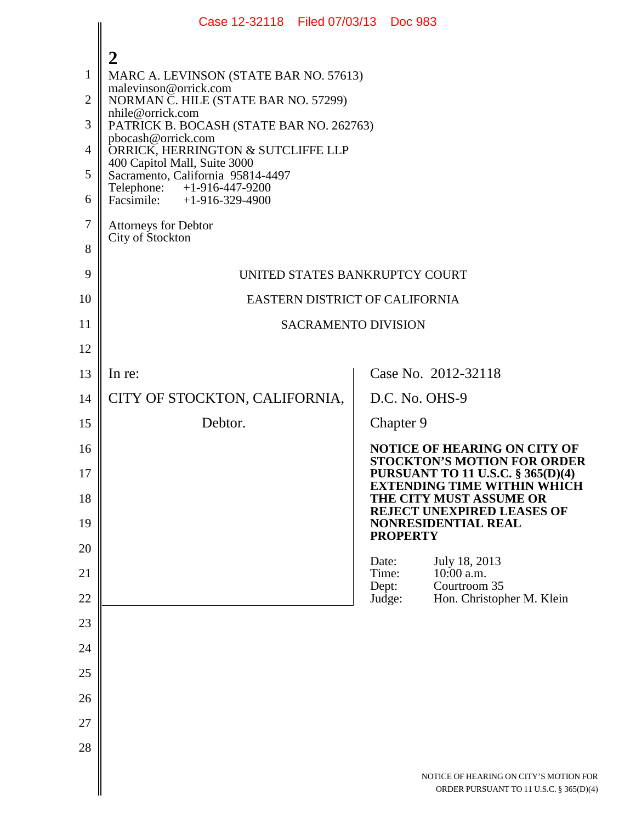|                                                 | Case 12-32118 Filed 07/03/13 Doc 983                                                                                                                                                                                                                                                                     |                 |                 |                                                                                                                                                      |  |
|-------------------------------------------------|----------------------------------------------------------------------------------------------------------------------------------------------------------------------------------------------------------------------------------------------------------------------------------------------------------|-----------------|-----------------|------------------------------------------------------------------------------------------------------------------------------------------------------|--|
| 1<br>$\overline{2}$<br>3<br>$\overline{4}$<br>5 | MARC A. LEVINSON (STATE BAR NO. 57613)<br>malevinson@orrick.com<br>NORMAN C. HILE (STATE BAR NO. 57299)<br>nhile@orrick.com<br>PATRICK B. BOCASH (STATE BAR NO. 262763)<br>pbocash@orrick.com<br>ORRICK, HERRINGTON & SUTCLIFFE LLP<br>400 Capitol Mall, Suite 3000<br>Sacramento, California 95814-4497 |                 |                 |                                                                                                                                                      |  |
| 6                                               | Telephone: +1-916-447-9200<br>Facsimile: $+1-916-329-4900$                                                                                                                                                                                                                                               |                 |                 |                                                                                                                                                      |  |
| $\tau$<br>8                                     | Attorneys for Debtor<br>City of Stockton                                                                                                                                                                                                                                                                 |                 |                 |                                                                                                                                                      |  |
| 9                                               | UNITED STATES BANKRUPTCY COURT                                                                                                                                                                                                                                                                           |                 |                 |                                                                                                                                                      |  |
| 10                                              | EASTERN DISTRICT OF CALIFORNIA                                                                                                                                                                                                                                                                           |                 |                 |                                                                                                                                                      |  |
| 11                                              | <b>SACRAMENTO DIVISION</b>                                                                                                                                                                                                                                                                               |                 |                 |                                                                                                                                                      |  |
| 12                                              |                                                                                                                                                                                                                                                                                                          |                 |                 |                                                                                                                                                      |  |
| 13                                              | In re:                                                                                                                                                                                                                                                                                                   |                 |                 | Case No. 2012-32118                                                                                                                                  |  |
| 14                                              | CITY OF STOCKTON, CALIFORNIA,                                                                                                                                                                                                                                                                            |                 |                 | D.C. No. OHS-9                                                                                                                                       |  |
| 15                                              | Debtor.                                                                                                                                                                                                                                                                                                  |                 | Chapter 9       |                                                                                                                                                      |  |
| 16<br>17                                        |                                                                                                                                                                                                                                                                                                          |                 |                 | <b>NOTICE OF HEARING ON CITY OF</b><br><b>STOCKTON'S MOTION FOR ORDER</b><br>PURSUANT TO 11 U.S.C. § 365(D)(4)<br><b>EXTENDING TIME WITHIN WHICH</b> |  |
| 18<br>19                                        |                                                                                                                                                                                                                                                                                                          |                 |                 | THE CITY MUST ASSUME OR<br>REJECT UNEXPIRED LEASES OF<br><b>NONRESIDENTIAL REAL</b>                                                                  |  |
| 20                                              |                                                                                                                                                                                                                                                                                                          |                 | <b>PROPERTY</b> |                                                                                                                                                      |  |
| 21                                              |                                                                                                                                                                                                                                                                                                          | Date:<br>Time:  |                 | July 18, 2013<br>10:00 a.m.                                                                                                                          |  |
| 22                                              |                                                                                                                                                                                                                                                                                                          | Dept:<br>Judge: |                 | Courtroom 35<br>Hon. Christopher M. Klein                                                                                                            |  |
| 23                                              |                                                                                                                                                                                                                                                                                                          |                 |                 |                                                                                                                                                      |  |
| 24                                              |                                                                                                                                                                                                                                                                                                          |                 |                 |                                                                                                                                                      |  |
| 25                                              |                                                                                                                                                                                                                                                                                                          |                 |                 |                                                                                                                                                      |  |
| 26                                              |                                                                                                                                                                                                                                                                                                          |                 |                 |                                                                                                                                                      |  |
| 27                                              |                                                                                                                                                                                                                                                                                                          |                 |                 |                                                                                                                                                      |  |
| 28                                              |                                                                                                                                                                                                                                                                                                          |                 |                 |                                                                                                                                                      |  |
|                                                 |                                                                                                                                                                                                                                                                                                          |                 |                 | NOTICE OF HEARING ON CITY'S MOTION FOR<br>ORDER PURSUANT TO 11 U.S.C. § 365(D)(4)                                                                    |  |